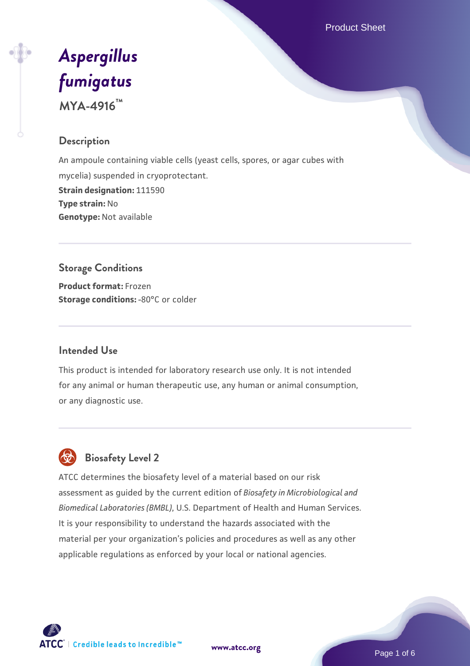Product Sheet

# *[Aspergillus](https://www.atcc.org/products/mya-4916) [fumigatus](https://www.atcc.org/products/mya-4916)* **MYA-4916™**

# **Description**

An ampoule containing viable cells (yeast cells, spores, or agar cubes with mycelia) suspended in cryoprotectant. **Strain designation:** 111590 **Type strain:** No **Genotype:** Not available

# **Storage Conditions**

**Product format:** Frozen **Storage conditions: -80°C or colder** 

#### **Intended Use**

This product is intended for laboratory research use only. It is not intended for any animal or human therapeutic use, any human or animal consumption, or any diagnostic use.

# **Biosafety Level 2**

ATCC determines the biosafety level of a material based on our risk assessment as guided by the current edition of *Biosafety in Microbiological and Biomedical Laboratories (BMBL)*, U.S. Department of Health and Human Services. It is your responsibility to understand the hazards associated with the material per your organization's policies and procedures as well as any other applicable regulations as enforced by your local or national agencies.



**[www.atcc.org](http://www.atcc.org)**

Page 1 of 6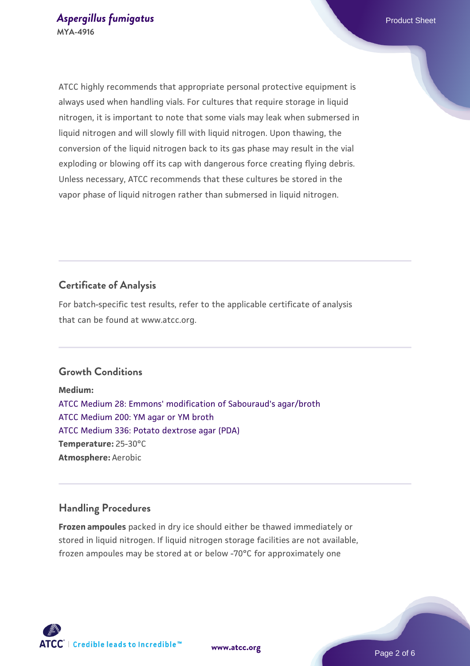ATCC highly recommends that appropriate personal protective equipment is always used when handling vials. For cultures that require storage in liquid nitrogen, it is important to note that some vials may leak when submersed in liquid nitrogen and will slowly fill with liquid nitrogen. Upon thawing, the conversion of the liquid nitrogen back to its gas phase may result in the vial exploding or blowing off its cap with dangerous force creating flying debris. Unless necessary, ATCC recommends that these cultures be stored in the vapor phase of liquid nitrogen rather than submersed in liquid nitrogen.

# **Certificate of Analysis**

For batch-specific test results, refer to the applicable certificate of analysis that can be found at www.atcc.org.

#### **Growth Conditions**

**Medium:**  [ATCC Medium 28: Emmons' modification of Sabouraud's agar/broth](https://www.atcc.org/-/media/product-assets/documents/microbial-media-formulations/2/8/atcc-medium-28.pdf?rev=0da0c58cc2a343eeae735016b70809bb) [ATCC Medium 200: YM agar or YM broth](https://www.atcc.org/-/media/product-assets/documents/microbial-media-formulations/2/0/0/atcc-medium-200.pdf?rev=ac40fd74dc13433a809367b0b9da30fc) [ATCC Medium 336: Potato dextrose agar \(PDA\)](https://www.atcc.org/-/media/product-assets/documents/microbial-media-formulations/3/3/6/atcc-medium-336.pdf?rev=d9160ad44d934cd8b65175461abbf3b9) **Temperature:** 25-30°C **Atmosphere:** Aerobic

#### **Handling Procedures**

**Frozen ampoules** packed in dry ice should either be thawed immediately or stored in liquid nitrogen. If liquid nitrogen storage facilities are not available, frozen ampoules may be stored at or below -70°C for approximately one

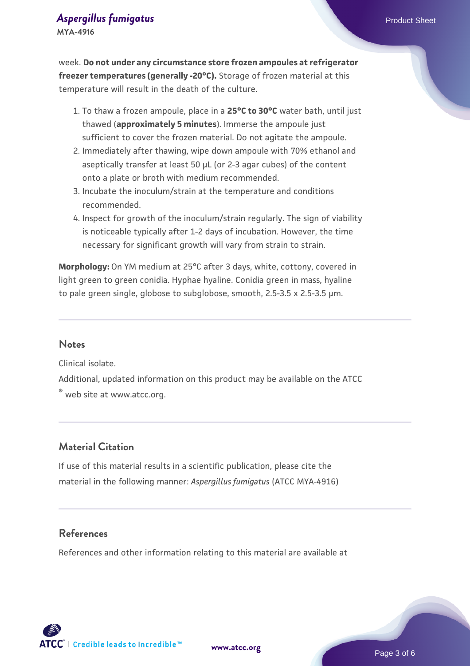# **[Aspergillus fumigatus](https://www.atcc.org/products/mya-4916) Aspergillus fumigatus Product Sheet**

**MYA-4916**

week. **Do not under any circumstance store frozen ampoules at refrigerator freezer temperatures (generally -20°C).** Storage of frozen material at this temperature will result in the death of the culture.

- 1. To thaw a frozen ampoule, place in a **25°C to 30°C** water bath, until just thawed (**approximately 5 minutes**). Immerse the ampoule just sufficient to cover the frozen material. Do not agitate the ampoule.
- 2. Immediately after thawing, wipe down ampoule with 70% ethanol and aseptically transfer at least 50 µL (or 2-3 agar cubes) of the content onto a plate or broth with medium recommended.
- Incubate the inoculum/strain at the temperature and conditions 3. recommended.
- 4. Inspect for growth of the inoculum/strain regularly. The sign of viability is noticeable typically after 1-2 days of incubation. However, the time necessary for significant growth will vary from strain to strain.

**Morphology:** On YM medium at 25°C after 3 days, white, cottony, covered in light green to green conidia. Hyphae hyaline. Conidia green in mass, hyaline to pale green single, globose to subglobose, smooth, 2.5-3.5 x 2.5-3.5 µm.

#### **Notes**

Clinical isolate.

Additional, updated information on this product may be available on the ATCC ® web site at www.atcc.org.

#### **Material Citation**

If use of this material results in a scientific publication, please cite the material in the following manner: *Aspergillus fumigatus* (ATCC MYA-4916)

#### **References**

References and other information relating to this material are available at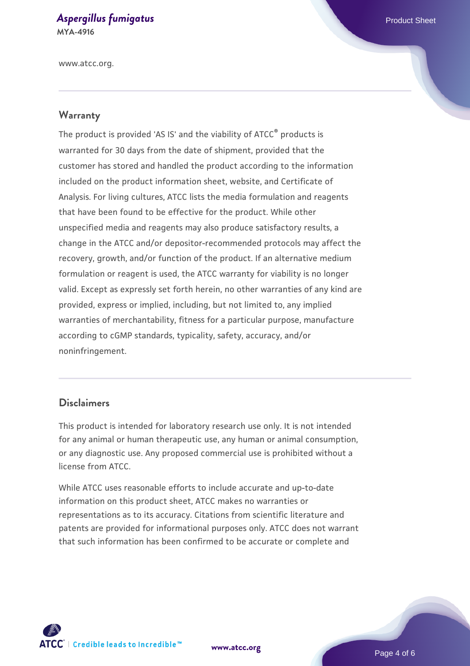#### **[Aspergillus fumigatus](https://www.atcc.org/products/mya-4916) Aspergillus fumigatus Product Sheet MYA-4916**

www.atcc.org.

#### **Warranty**

The product is provided 'AS IS' and the viability of ATCC® products is warranted for 30 days from the date of shipment, provided that the customer has stored and handled the product according to the information included on the product information sheet, website, and Certificate of Analysis. For living cultures, ATCC lists the media formulation and reagents that have been found to be effective for the product. While other unspecified media and reagents may also produce satisfactory results, a change in the ATCC and/or depositor-recommended protocols may affect the recovery, growth, and/or function of the product. If an alternative medium formulation or reagent is used, the ATCC warranty for viability is no longer valid. Except as expressly set forth herein, no other warranties of any kind are provided, express or implied, including, but not limited to, any implied warranties of merchantability, fitness for a particular purpose, manufacture according to cGMP standards, typicality, safety, accuracy, and/or noninfringement.

#### **Disclaimers**

This product is intended for laboratory research use only. It is not intended for any animal or human therapeutic use, any human or animal consumption, or any diagnostic use. Any proposed commercial use is prohibited without a license from ATCC.

While ATCC uses reasonable efforts to include accurate and up-to-date information on this product sheet, ATCC makes no warranties or representations as to its accuracy. Citations from scientific literature and patents are provided for informational purposes only. ATCC does not warrant that such information has been confirmed to be accurate or complete and



**[www.atcc.org](http://www.atcc.org)**

Page 4 of 6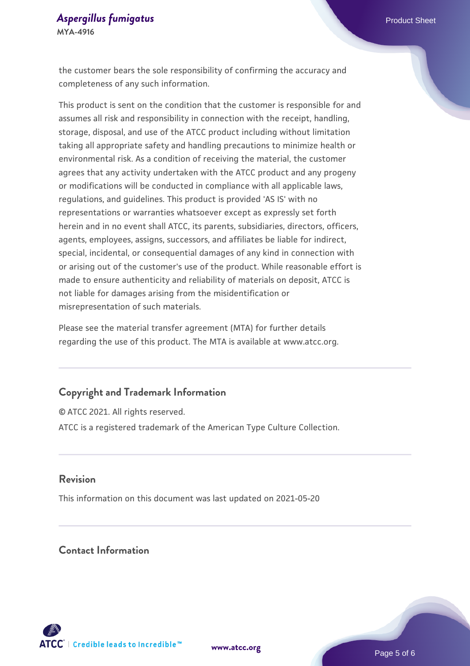#### **[Aspergillus fumigatus](https://www.atcc.org/products/mya-4916) Aspergillus fumigatus Product Sheet MYA-4916**

the customer bears the sole responsibility of confirming the accuracy and completeness of any such information.

This product is sent on the condition that the customer is responsible for and assumes all risk and responsibility in connection with the receipt, handling, storage, disposal, and use of the ATCC product including without limitation taking all appropriate safety and handling precautions to minimize health or environmental risk. As a condition of receiving the material, the customer agrees that any activity undertaken with the ATCC product and any progeny or modifications will be conducted in compliance with all applicable laws, regulations, and guidelines. This product is provided 'AS IS' with no representations or warranties whatsoever except as expressly set forth herein and in no event shall ATCC, its parents, subsidiaries, directors, officers, agents, employees, assigns, successors, and affiliates be liable for indirect, special, incidental, or consequential damages of any kind in connection with or arising out of the customer's use of the product. While reasonable effort is made to ensure authenticity and reliability of materials on deposit, ATCC is not liable for damages arising from the misidentification or misrepresentation of such materials.

Please see the material transfer agreement (MTA) for further details regarding the use of this product. The MTA is available at www.atcc.org.

# **Copyright and Trademark Information**

© ATCC 2021. All rights reserved. ATCC is a registered trademark of the American Type Culture Collection.

#### **Revision**

This information on this document was last updated on 2021-05-20

# **Contact Information**